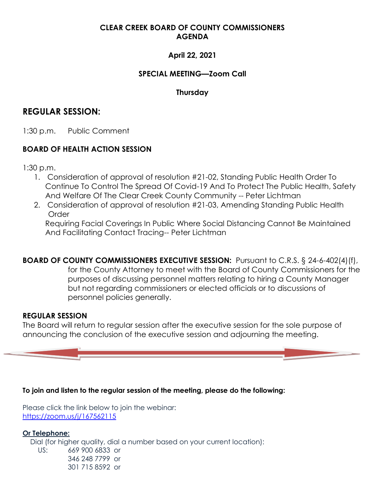## **CLEAR CREEK BOARD OF COUNTY COMMISSIONERS AGENDA**

## **April 22, 2021**

## **SPECIAL MEETING—Zoom Call**

## **Thursday**

# **REGULAR SESSION:**

1:30 p.m. Public Comment

## **BOARD OF HEALTH ACTION SESSION**

1:30 p.m.

- 1. Consideration of approval of resolution #21-02, Standing Public Health Order To Continue To Control The Spread Of Covid-19 And To Protect The Public Health, Safety And Welfare Of The Clear Creek County Community -- Peter Lichtman
- 2. Consideration of approval of resolution #21-03, Amending Standing Public Health Order

Requiring Facial Coverings In Public Where Social Distancing Cannot Be Maintained And Facilitating Contact Tracing-- Peter Lichtman

**BOARD OF COUNTY COMMISSIONERS EXECUTIVE SESSION:** Pursuant to C.R.S. § 24-6-402(4)(f), for the County Attorney to meet with the Board of County Commissioners for the purposes of discussing personnel matters relating to hiring a County Manager but not regarding commissioners or elected officials or to discussions of personnel policies generally.

### **REGULAR SESSION**

The Board will return to regular session after the executive session for the sole purpose of announcing the conclusion of the executive session and adjourning the meeting.

#### **To join and listen to the regular session of the meeting, please do the following:**

Please click the link below to join the webinar: <https://zoom.us/j/167562115>

**Or Telephone:** Dial (for higher quality, dial a number based on your current location): US: 669 900 6833 or 346 248 7799 or 301 715 8592 or